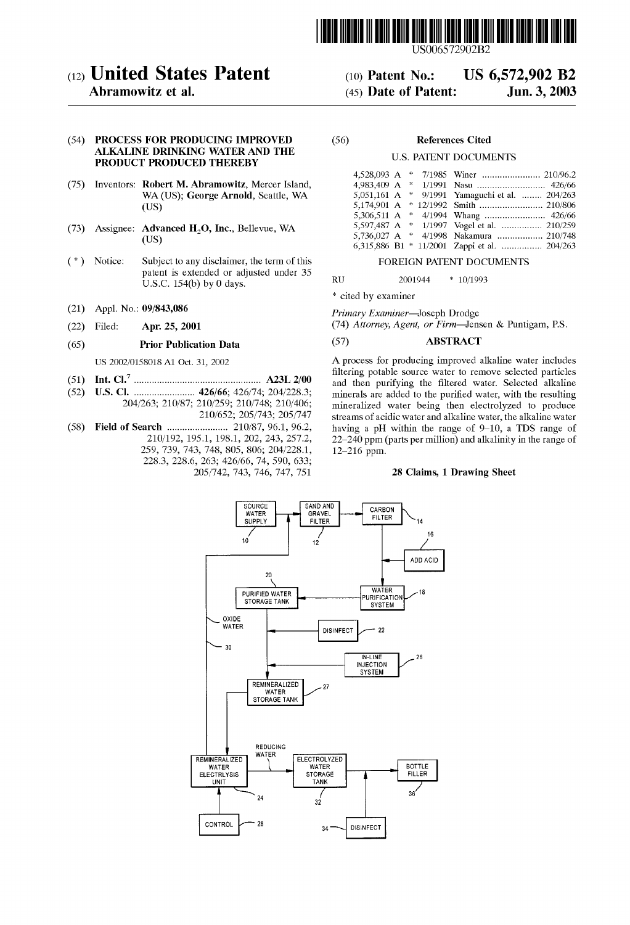

US006572902B2

US 6,572,902 B2

Jun. 3, 2003

# (12) United States Patent

## Abramowitz et al.

#### (54) PROCESS FOR PRODUCING IMPROVED (56) References Cited ALKALINE DRINKING WATER AND THE **PRODUCT PRODUCED THEREBY** U.S. PATENT DOCUMENTS

- (75) Inventors: Robert M. Abramowitz, Mercer Island, WA (US); George Arnold, Seattle, WA (US)
- (73) Assignee:  $\Delta \text{dvanced H}_2\text{O}$ , Inc., Bellevue, WA (US)
- Notice: Subject to any disclaimer, the term of this FOREIGN PATENT DOCUMENTS  $(*)$ patent is extended or adjusted under 35 RU 2001944  $*$  10/1993<br>U.S.C. 154(b) by 0 days.
- (21) Appl. No.: 09/843,086
- (22) Filed: Apr. 25, 2001

#### (65) Prior Publication Data

US 2002/0158018 A1 Oct. 31, 2002

- (51) Int. Cl.7 ................................................ .. A23L 2/00
- (52) US. Cl. ...................... .. 426/66; 426/74; 204/2283; 204/263; 210/87; 210/259; 210/748; 210/406;
- 210/652; 205/743; 205/747
- (58) Field of Search ...................... .. 210/87, 96.1, 96.2, 210/192, 195.1, 198.1, 202, 243, 257.2, 259, 739, 743, 748, 805, 806; 204/228.1, 2283, 228.6, 263; 426/66, 74, 590, 633;

(10) Patent N0.: (45) Date of Patent:

| Robert M. Abramowitz, Mercer Island,          |                                                |
|-----------------------------------------------|------------------------------------------------|
| WA (US); George Arnold, Seattle, WA           | 5,051,161 A * 9/1991 Yamaguchi et al.  204/263 |
| (US)                                          |                                                |
|                                               |                                                |
| Advanced H <sub>2</sub> O, Inc., Bellevue, WA | 5,597,487 A * 1/1997 Vogel et al.  210/259     |
| (US)                                          |                                                |
|                                               | 6,315,886 B1 * 11/2001 Zappi et al.  204/263   |

\* cited by examiner

Primary Examiner—Joseph Drodge

(74) Attorney, Agent, or Firm—Jensen & Puntigam, PS.

### (57) ABSTRACT

A process for producing improved alkaline Water includes filtering potable source water to remove selected particles and then purifying the filtered water. Selected alkaline minerals are added to the purified water, with the resulting mineralized water being then electrolyzed to produce streams of acidic Water and alkaline Water, the alkaline Water having a pH Within the range of 9—10, a TDS range of  $22-240$  ppm (parts per million) and alkalinity in the range of  $12-216$  ppm.

#### 28 Claims, 1 Drawing Sheet

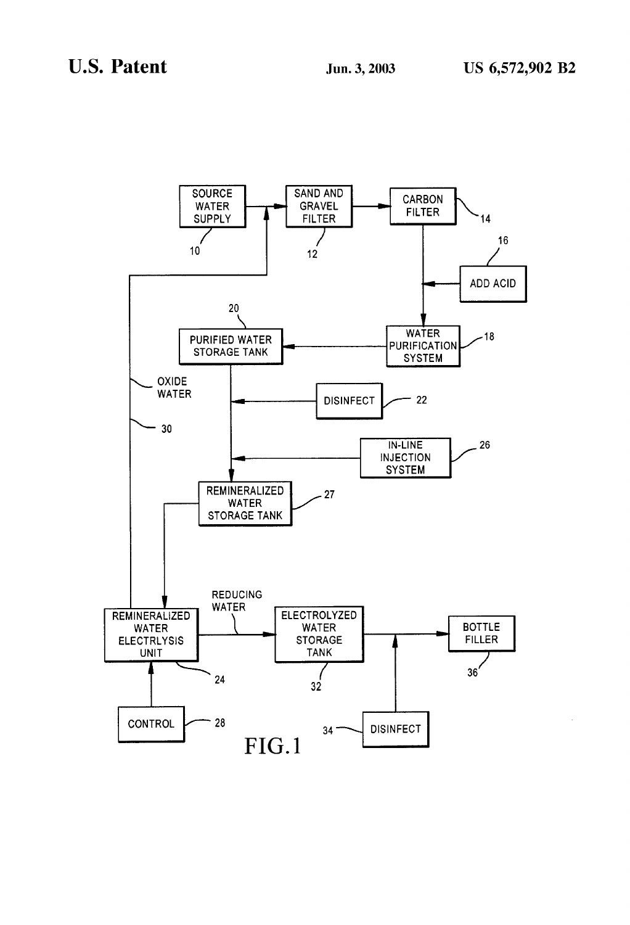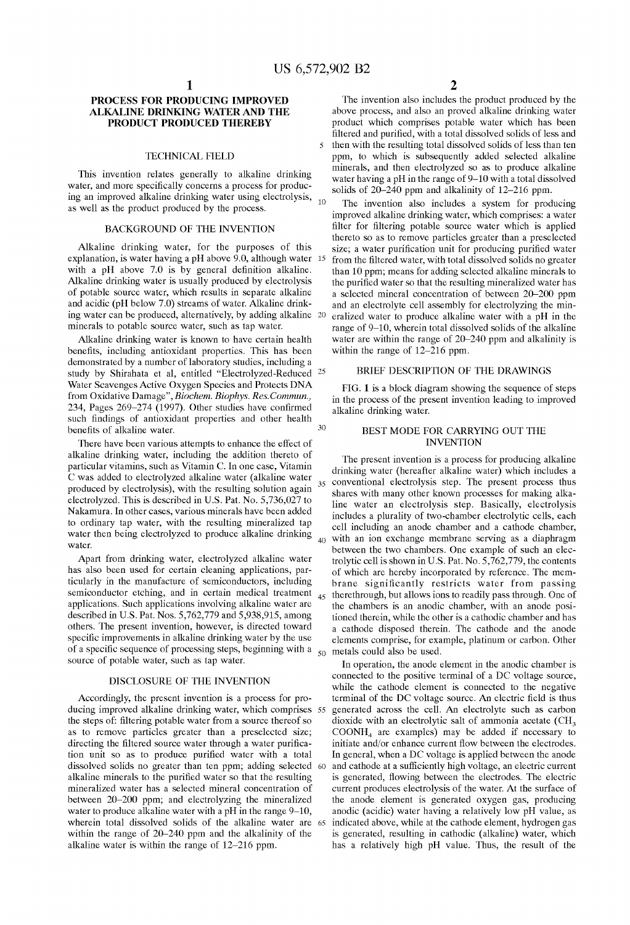### PROCESS FOR PRODUCING IMPROVED ALKALINE DRINKING WATER AND THE PRODUCT PRODUCED THEREBY

#### TECHNICAL FIELD

This invention relates generally to alkaline drinking water, and more specifically concerns a process for producing an improved alkaline drinking water using electrolysis,  $_{10}$ as well as the product produced by the process.

### BACKGROUND OF THE INVENTION

Alkaline drinking Water, for the purposes of this explanation, is Water having a pH above 9.0, although Water 15 with a pH above  $7.0$  is by general definition alkaline. Alkaline drinking Water is usually produced by electrolysis of potable source Water, Which results in separate alkaline and acidic (pH beloW 7.0) streams of Water. Alkaline drink ing water can be produced, alternatively, by adding alkaline 20 minerals to potable source Water, such as tap Water.

Alkaline drinking water is known to have certain health benefits, including antioxidant properties. This has been demonstrated by a number of laboratory studies, including a study by Shirahata et al, entitled "Electrolyzed-Reduced <sup>25</sup> Water Scavenges Active Oxygen Species and Protects DNA from Oxidative Damage", Biochem. Biophys. Res. Commun., 234, Pages  $269-274$  (1997). Other studies have confirmed such findings of antioxidant properties and other health benefits of alkaline water.

There have been various attempts to enhance the effect of alkaline drinking Water, including the addition thereto of particular vitamins, such as Vitamin C. In one case, Vitamin C was added to electrolyzed alkaline water (alkaline water produced by electrolysis), With the resulting solution again electrolyzed. This is described in U.S. Pat. No. 5,736,027 to Nakamura. In other cases, various minerals have been added to ordinary tap water, with the resulting mineralized tap water then being electrolyzed to produce alkaline drinking water.

Apart from drinking water, electrolyzed alkaline water has also been used for certain cleaning applications, par ticularly in the manufacture of semiconductors, including semiconductor etching, and in certain medical treatment applications. Such applications involving alkaline Water are described in US. Pat. Nos. 5,762,779 and 5,938,915, among others. The present invention, however, is directed toward specific improvements in alkaline drinking water by the use of a specific sequence of processing steps, beginning with a source of potable Water, such as tap Water.

#### DISCLOSURE OF THE INVENTION

Accordingly, the present invention is a process for pro ducing improved alkaline drinking Water, Which comprises 55 the steps of: filtering potable water from a source thereof so as to remove particles greater than a preselected size; directing the filtered source water through a water purification unit so as to produce purified water with a total dissolved solids no greater than ten ppm; adding selected 60 alkaline minerals to the purified water so that the resulting mineralized water has a selected mineral concentration of between 20–200 ppm; and electrolyzing the mineralized water to produce alkaline water with a pH in the range 9–10, Wherein total dissolved solids of the alkaline Water are 65 within the range of 20–240 ppm and the alkalinity of the alkaline Water is Within the range of 12—216 ppm.

2

The invention also includes the product produced by the above process, and also an proved alkaline drinking Water product Which comprises potable Water Which has been filtered and purified, with a total dissolved solids of less and then With the resulting total dissolved solids of less than ten ppm, to Which is subsequently added selected alkaline minerals, and then electrolyzed so as to produce alkaline Water having a pH in the range of 9—10 With a total dissolved solids of  $20-240$  ppm and alkalinity of 12-216 ppm.

The invention also includes a system for producing improved alkaline drinking Water, Which comprises: a Water filter for filtering potable source water which is applied thereto so as to remove particles greater than a preselected size; a water purification unit for producing purified water from the filtered water, with total dissolved solids no greater than 10 ppm; means for adding selected alkaline minerals to the purified water so that the resulting mineralized water has a selected mineral concentration of betWeen 20—200 ppm and an electrolyte cell assembly for electrolyzing the mineralized water to produce alkaline water with a pH in the range of 9—10, Wherein total dissolved solids of the alkaline water are within the range of 20–240 ppm and alkalinity is within the range of 12-216 ppm.

### BRIEF DESCRIPTION OF THE DRAWINGS

FIG. 1 is a block diagram showing the sequence of steps in the process of the present invention leading to improved alkaline drinking Water.

#### BEST MODE FOR CARRYING OUT THE INVENTION

The present invention is a process for producing alkaline drinking Water (hereafter alkaline Water) Which includes a conventional electrolysis step. The present process thus 35 shares with many other known processes for making alkaline Water an electrolysis step. Basically, electrolysis includes a plurality of tWo-chamber electrolytic cells, each cell including an anode chamber and a cathode chamber,  $40^{\circ}$ with an ion exchange membrane serving as a diaphragm between the two chambers. One example of such an electrolytic cell is shoWn in US. Pat. No. 5,762,779, the contents of Which are hereby incorporated by reference. The mem brane significantly restricts water from passing 45 therethrough, but alloWs ions to readily pass through. One of the chambers is an anodic chamber, With an anode posi tioned therein, While the other is a cathodic chamber and has a cathode disposed therein. The cathode and the anode elements comprise, for example, platinum or carbon. Other metals could also be used.

In operation, the anode element in the anodic chamber is connected to the positive terminal of a DC voltage source, While the cathode element is connected to the negative terminal of the DC voltage source. An electric field is thus generated across the cell. An electrolyte such as carbon dioxide with an electrolytic salt of ammonia acetate  $\rm CH_{3}$  $COONH<sub>4</sub>$  are examples) may be added if necessary to initiate and/or enhance current flow between the electrodes. In general, when a DC voltage is applied between the anode and cathode at a sufficiently high voltage, an electric current is generated, flowing between the electrodes. The electric current produces electrolysis of the Water. At the surface of the anode element is generated oxygen gas, producing anodic (acidic) water having a relatively low pH value, as indicated above, While at the cathode element, hydrogen gas is generated, resulting in cathodic (alkaline) Water, Which has a relatively high pH value. Thus, the result of the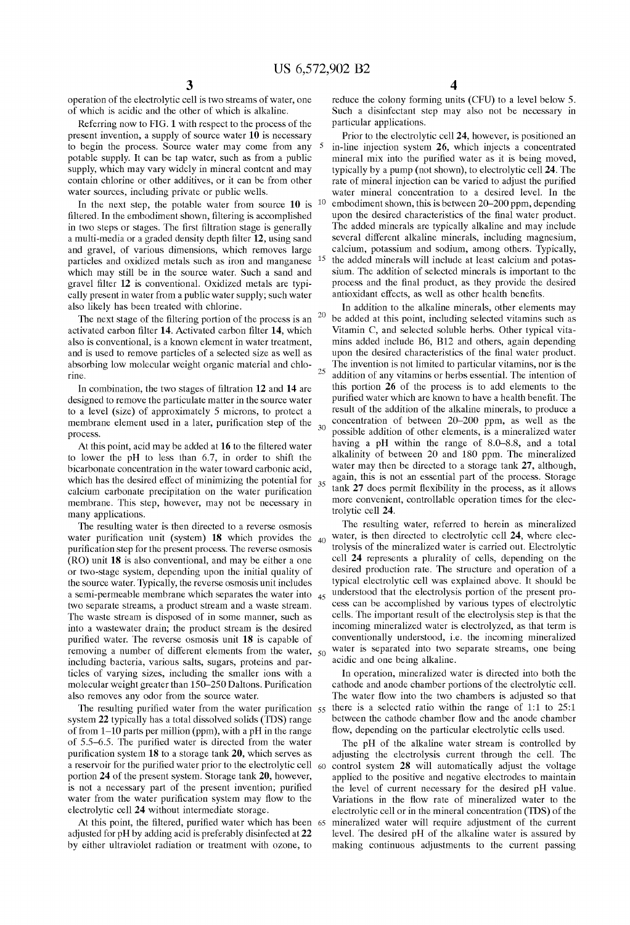25

20

35

operation of the electrolytic cell is tWo streams of Water, one of Which is acidic and the other of Which is alkaline.

Referring noW to FIG. 1 With respect to the process of the present invention, a supply of source Water 10 is necessary to begin the process. Source Water may come from any potable supply. It can be tap Water, such as from a public supply, which may vary widely in mineral content and may contain chlorine or other additives, or it can be from other Water sources, including private or public Wells.

In the next step, the potable water from source  $10$  is  $10$ filtered. In the embodiment shown, filtering is accomplished in two steps or stages. The first filtration stage is generally a multi-media or a graded density depth filter 12, using sand and gravel, of various dimensions, Which removes large particles and oxidized metals such as iron and manganese which may still be in the source water. Such a sand and gravel filter 12 is conventional. Oxidized metals are typically present in Water from a public Water supply; such Water also likely has been treated With chlorine.

The next stage of the filtering portion of the process is an activated carbon filter 14. Activated carbon filter 14, which also is conventional, is a known element in water treatment, and is used to remove particles of a selected size as well as absorbing low molecular weight organic material and chlorine.

In combination, the two stages of filtration  $12$  and  $14$  are designed to remove the particulate matter in the source Water to a level (size) of approximately 5 microns, to protect a membrane element used in a later, purification step of the  $_{30}$ process.

At this point, acid may be added at  $16$  to the filtered water to loWer the pH to less than 6.7, in order to shift the bicarbonate concentration in the Water toWard carbonic acid, which has the desired effect of minimizing the potential for calcium carbonate precipitation on the water purification membrane. This step, hoWever, may not be necessary in many applications.

The resulting Water is then directed to a reverse osmosis water purification unit (system) 18 which provides the  $_{40}$ purification step for the present process. The reverse osmosis (RO) unit 18 is also conventional, and may be either a one or tWo-stage system, depending upon the initial quality of the source Water. Typically, the reverse osmosis unit includes a semi-permeable membrane which separates the water into <sub>45</sub> tWo separate streams, a product stream and a Waste stream. The Waste stream is disposed of in some manner, such as into a WasteWater drain; the product stream is the desired purified water. The reverse osmosis unit 18 is capable of removing a number of different elements from the water,  $_{50}$ including bacteria, various salts, sugars, proteins and par ticles of varying sizes, including the smaller ions with a molecular weight greater than  $150-250$  Daltons. Purification also removes any odor from the source Water.

The resulting purified water from the water purification  $55$ system 22 typically has a total dissolved solids (TDS) range of from 1—10 parts per million (ppm), With a pH in the range of 5.5–6.5. The purified water is directed from the water purification system  $18$  to a storage tank  $20$ , which serves as a reservoir for the purified water prior to the electrolytic cell 60 portion 24 of the present system. Storage tank 20, however, is not a necessary part of the present invention; purified water from the water purification system may flow to the electrolytic cell 24 Without intermediate storage.

At this point, the filtered, purified water which has been 65 adjusted for pH by adding acid is preferably disinfected at 22 by either ultraviolet radiation or treatment With oZone, to

4

reduce the colony forming units (CFU) to a level below 5. Such a disinfectant step may also not be necessary in particular applications.

Prior to the electrolytic cell 24, however, is positioned an in-line injection system 26, Which injects a concentrated mineral mix into the purified water as it is being moved, typically by a pump (not shoWn), to electrolytic cell 24. The rate of mineral injection can be varied to adjust the purified Water mineral concentration to a desired level. In the embodiment shown, this is between 20–200 ppm, depending upon the desired characteristics of the final water product. The added minerals are typically alkaline and may include several different alkaline minerals, including magnesium, calcium, potassium and sodium, among others. Typically, the added minerals Will include at least calcium and potas sium. The addition of selected minerals is important to the process and the final product, as they provide the desired antioxidant effects, as well as other health benefits.

In addition to the alkaline minerals, other elements may be added at this point, including selected vitamins such as Vitamin C, and selected soluble herbs. Other typical vita mins added include B6, B12 and others, again depending upon the desired characteristics of the final water product. The invention is not limited to particular vitamins, nor is the addition of any vitamins or herbs essential. The intention of this portion 26 of the process is to add elements to the purified water which are known to have a health benefit. The result of the addition of the alkaline minerals, to produce a concentration of betWeen 20—200 ppm, as Well as the possible addition of other elements, is a mineralized water having a pH Within the range of 8.0—8.8, and a total alkalinity of between 20 and 180 ppm. The mineralized Water may then be directed to a storage tank 27, although, again, this is not an essential part of the process. Storage tank 27 does permit flexibility in the process, as it allows more convenient, controllable operation times for the elec trolytic cell 24.

The resulting water, referred to herein as mineralized water, is then directed to electrolytic cell 24, where electrolysis of the mineralized water is carried out. Electrolytic cell 24 represents a plurality of cells, depending on the desired production rate. The structure and operation of a typical electrolytic cell Was explained above. It should be understood that the electrolysis portion of the present pro cess can be accomplished by various types of electrolytic cells. The important result of the electrolysis step is that the incoming mineralized water is electrolyzed, as that term is conventionally understood, i.e. the incoming mineralized Water is separated into tWo separate streams, one being acidic and one being alkaline.

In operation, mineralized water is directed into both the cathode and anode chamber portions of the electrolytic cell. The water flow into the two chambers is adjusted so that there is a selected ratio Within the range of 1:1 to 25:1 betWeen the cathode chamber How and the anode chamber flow, depending on the particular electrolytic cells used.

The pH of the alkaline Water stream is controlled by adjusting the electrolysis current through the cell. The control system 28 Will automatically adjust the voltage applied to the positive and negative electrodes to maintain the level of current necessary for the desired pH value. Variations in the flow rate of mineralized water to the electrolytic cell or in the mineral concentration (TDS) of the mineralized water will require adjustment of the current level. The desired pH of the alkaline Water is assured by making continuous adjustments to the current passing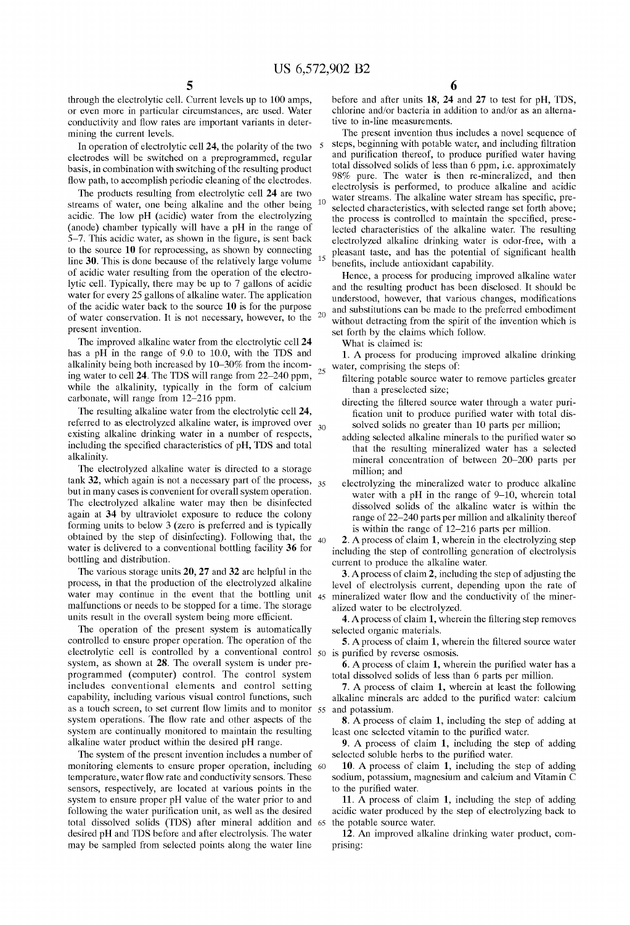15

25

through the electrolytic cell. Current levels up to 100 amps, or even more in particular circumstances, are used. Water conductivity and How rates are important variants in deter mining the current levels.

In operation of electrolytic cell  $24$ , the polarity of the two  $5$ electrodes Will be sWitched on a preprogrammed, regular basis, in combination With sWitching of the resulting product flow path, to accomplish periodic cleaning of the electrodes.

The products resulting from electrolytic cell 24 are two streams of Water, one being alkaline and the other being acidic. The low pH (acidic) water from the electrolyzing (anode) chamber typically Will have a pH in the range of  $5-7$ . This acidic water, as shown in the figure, is sent back to the source 10 for reprocessing, as shoWn by connecting line 30. This is done because of the relatively large volume of acidic Water resulting from the operation of the electro lytic cell. Typically, there may be up to 7 gallons of acidic water for every 25 gallons of alkaline water. The application of the acidic Water back to the source 10 is for the purpose of water conservation. It is not necessary, however, to the  $20$ present invention.

The improved alkaline Water from the electrolytic cell 24 has a pH in the range of 9.0 to 10.0, With the TDS and alkalinity being both increased by 10—30% from the incom ing Water to cell 24. The TDS Will range from 22—240 ppm, While the alkalinity, typically in the form of calcium carbonate, Will range from 12—216 ppm.

The resulting alkaline Water from the electrolytic cell 24, referred to as electrolyzed alkaline water, is improved over  $_{30}$ existing alkaline drinking water in a number of respects, including the specified characteristics of pH, TDS and total alkalinity.

The electrolyzed alkaline water is directed to a storage tank  $32$ , which again is not a necessary part of the process,  $35$ but in many cases is convenient for overall system operation. The electrolyzed alkaline water may then be disinfected again at 34 by ultraviolet exposure to reduce the colony forming units to below 3 (zero is preferred and is typically obtained by the step of disinfecting). FolloWing that, the water is delivered to a conventional bottling facility 36 for bottling and distribution. 40

The various storage units 20, 27 and 32 are helpful in the process, in that the production of the electrolyzed alkaline water may continue in the event that the bottling unit 45 mineralized water flow and the conductivity of the minermalfunctions or needs to be stopped for a time. The storage units result in the overall system being more efficient.

The operation of the present system is automatically controlled to ensure proper operation. The operation of the electrolytic cell is controlled by a conventional control  $50$  is purified by reverse osmosis. system, as shown at 28. The overall system is under preprogrammed (computer) control. The control system includes conventional elements and control setting capability, including various visual control functions, such alkaline mineral<br>as a touch screen, to set current flow limits and to monitor 55 and potassium. system operations. The How rate and other aspects of the system are continually monitored to maintain the resulting alkaline Water product Within the desired pH range.

The system of the present invention includes a number of monitoring elements to ensure proper operation, including 60 temperature, water flow rate and conductivity sensors. These sensors, respectively, are located at various points in the system to ensure proper pH value of the Water prior to and following the water purification unit, as well as the desired total dissolved solids (TDS) after mineral addition and 65 the potable source Water. desired pH and TDS before and after electrolysis. The Water may be sampled from selected points along the Water line

before and after units 18, 24 and 27 to test for pH, TDS, chlorine and/or bacteria in addition to and/or as an alterna tive to in-line measurements.

The present invention thus includes a novel sequence of steps, beginning with potable water, and including filtration and purification thereof, to produce purified water having total dissolved solids of less than 6 ppm, i.e. approximately 98% pure. The water is then re-mineralized, and then electrolysis is performed, to produce alkaline and acidic water streams. The alkaline water stream has specific, preselected characteristics, With selected range set forth above; the process is controlled to maintain the specified, preselected characteristics of the alkaline Water. The resulting electrolyzed alkaline drinking water is odor-free, with a pleasant taste, and has the potential of significant health benefits, include antioxidant capability.

Hence, a process for producing improved alkaline water and the resulting product has been disclosed. It should be understood, however, that various changes, modifications and substitutions can be made to the preferred embodiment without detracting from the spirit of the invention which is set forth by the claims Which folloW.

What is claimed is:

1. A process for producing improved alkaline drinking water, comprising the steps of:

- filtering potable source water to remove particles greater than a preselected size;
- directing the filtered source water through a water purification unit to produce purified water with total dissolved solids no greater than 10 parts per million;
- adding selected alkaline minerals to the purified water so that the resulting mineralized water has a selected mineral concentration of betWeen 20—200 parts per million; and
- electrolyzing the mineralized water to produce alkaline water with a pH in the range of 9-10, wherein total dissolved solids of the alkaline Water is Within the range of 22—240 parts per million and alkalinity thereof is Within the range of 12—216 parts per million.

2. A process of claim 1, wherein in the electrolyzing step including the step of controlling generation of electrolysis current to produce the alkaline Water.

3. Aprocess of claim 2, including the step of adjusting the level of electrolysis current, depending upon the rate of alized water to be electrolyzed.

4. A process of claim 1, wherein the filtering step removes selected organic materials.

5. A process of claim 1, wherein the filtered source water

6. A process of claim 1, wherein the purified water has a total dissolved solids of less than 6 parts per million.

7. A process of claim 1, Wherein at least the folloWing alkaline minerals are added to the purified water: calcium

8. A process of claim 1, including the step of adding at least one selected vitamin to the purified water.

9. A process of claim 1, including the step of adding selected soluble herbs to the purified water.

10. A process of claim 1, including the step of adding sodium, potassium, magnesium and calcium and Vitamin C to the purified water.

11. A process of claim 1, including the step of adding acidic water produced by the step of electrolyzing back to

12. An improved alkaline drinking Water product, com prising: